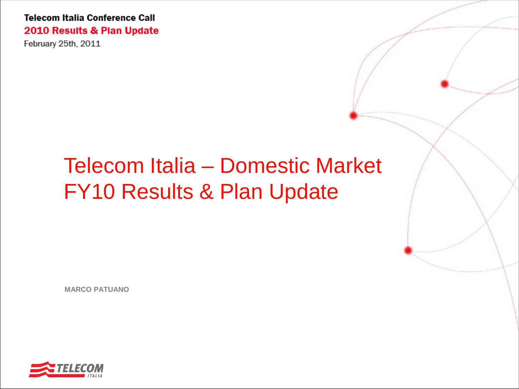February 25th, 2011

# Telecom Italia – Domestic Market FY10 Results & Plan Update

**MARCO PATUANO**

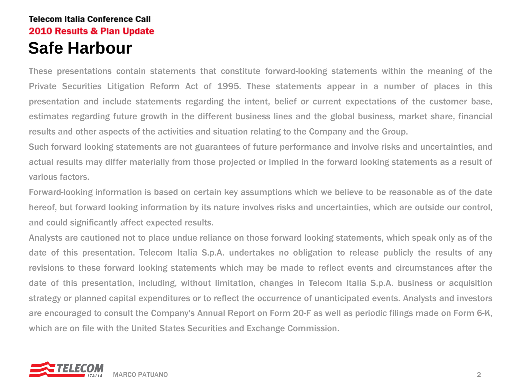These presentations contain statements that constitute forward-looking statements within the meaning of the Private Securities Litigation Reform Act of 1995. These statements appear in a number of places in this presentation and include statements regarding the intent, belief or current expectations of the customer base, estimates regarding future growth in the different business lines and the global business, market share, financial results and other aspects of the activities and situation relating to the Company and the Group.

Such forward looking statements are not guarantees of future performance and involve risks and uncertainties, and actual results may differ materially from those projected or implied in the forward looking statements as a result of various factors.

Forward-looking information is based on certain key assumptions which we believe to be reasonable as of the date hereof, but forward looking information by its nature involves risks and uncertainties, which are outside our control, and could significantly affect expected results.

Analysts are cautioned not to place undue reliance on those forward looking statements, which speak only as of the date of this presentation. Telecom Italia S.p.A. undertakes no obligation to release publicly the results of any revisions to these forward looking statements which may be made to reflect events and circumstances after the date of this presentation, including, without limitation, changes in Telecom Italia S.p.A. business or acquisition strategy or planned capital expenditures or to reflect the occurrence of unanticipated events. Analysts and investors are encouraged to consult the Company's Annual Report on Form 20-F as well as periodic filings made on Form 6-K, which are on file with the United States Securities and Exchange Commission.

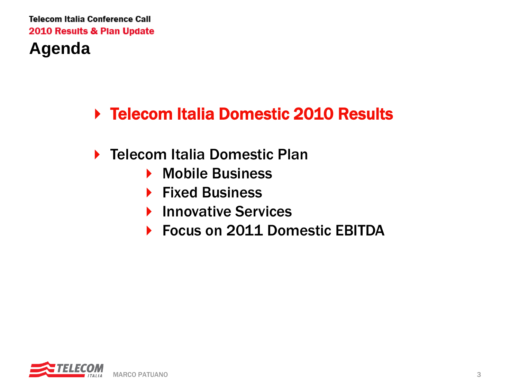## **Agenda**

# ▶ Telecom Italia Domestic 2010 Results

- ▶ Telecom Italia Domestic Plan
	- ▶ Mobile Business
	- ▶ Fixed Business
	- **Innovative Services**
	- ▶ Focus on 2011 Domestic EBITDA

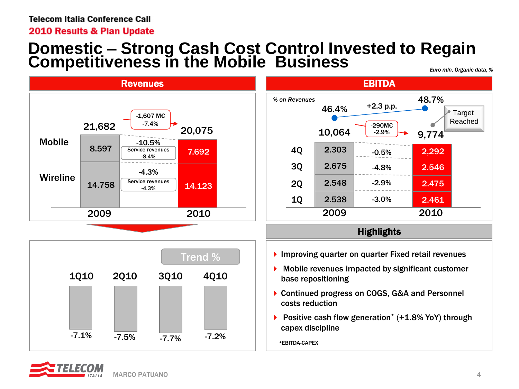2010 Results & Plan Update

### **Domestic – Strong Cash Cost Control Invested to Regain**  Competitiveness in the Mobile Business







#### **Highlights**

- **Improving quarter on quarter Fixed retail revenues**
- Mobile revenues impacted by significant customer base repositioning
- ▶ Continued progress on COGS, G&A and Personnel costs reduction
- ▶ Positive cash flow generation<sup>\*</sup> (+1.8% YoY) through capex discipline

\*EBITDA-CAPEX

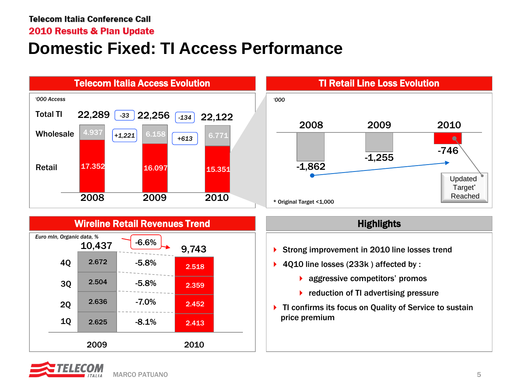2010 Results & Plan Update

## **Domestic Fixed: TI Access Performance**



### Wireline Retail Revenues Trend





#### **Highlights**

- Strong improvement in 2010 line losses trend
- ▶ 4Q10 line losses (233k) affected by :
	- **aggressive competitors' promos**
	- $\blacktriangleright$  reduction of TI advertising pressure
- ▶ TI confirms its focus on Quality of Service to sustain price premium

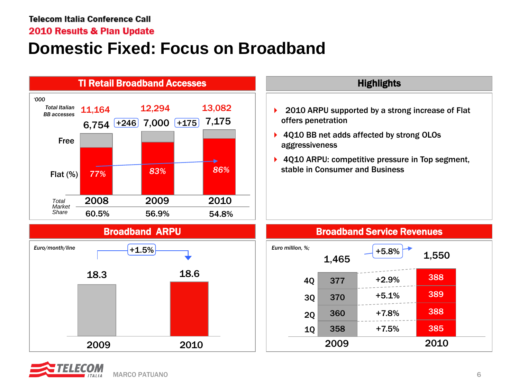2010 Results & Plan Update

# **Domestic Fixed: Focus on Broadband**



18.3 18.6

2009 2010

- ▶ 2010 ARPU supported by a strong increase of Flat offers penetration
- ▶ 4Q10 BB net adds affected by strong OLOs aggressiveness
- ▶ 4010 ARPU: competitive pressure in Top segment, stable in Consumer and Business



Broadband Service Revenues

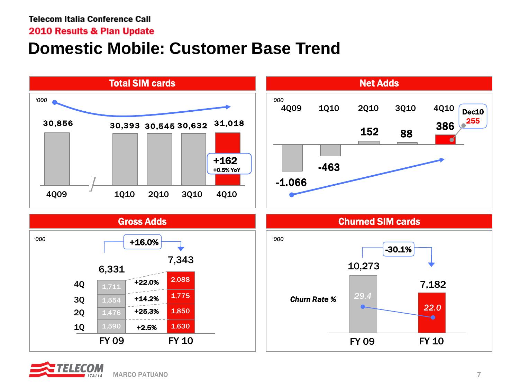2010 Results & Plan Update

# **Domestic Mobile: Customer Base Trend**



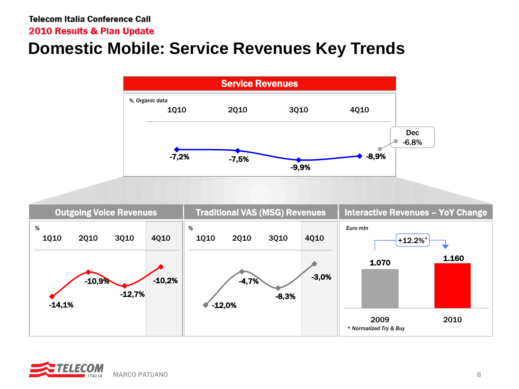#### 2010 Results & Plan Update

# **Domestic Mobile: Service Revenues Key Trends**



| <b>Outgoing Voice Revenues</b>                                                                         | <b>Traditional VAS (MSG) Revenues</b>                                     | <b>Interactive Revenues - YoY Change</b>                                                            |
|--------------------------------------------------------------------------------------------------------|---------------------------------------------------------------------------|-----------------------------------------------------------------------------------------------------|
| %<br>4Q10<br><b>1Q10</b><br><b>2Q10</b><br><b>3Q10</b><br>$-10,2%$<br>$-10,9%$<br>$-12,7%$<br>$-14,1%$ | %<br><b>2Q10</b><br>3Q10<br><b>1010</b><br>$-4,7%$<br>$-8,3%$<br>$-12,0%$ | Euro mln<br>4Q10<br>$+12.2%$<br>1.160<br>1.070<br>$-3,0%$<br>2010<br>2009<br>* Normalized Try & Buy |

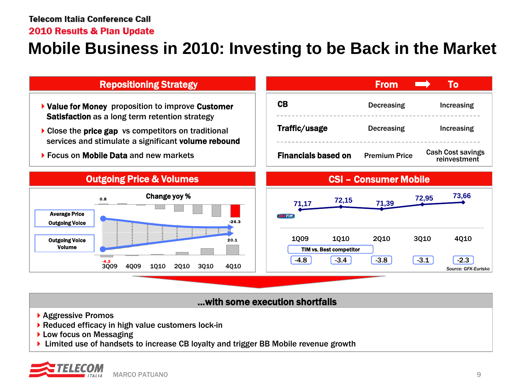#### 2010 Results & Plan Update

### **Mobile Business in 2010: Investing to be Back in the Market**



#### …with some execution shortfalls

- ▶ Aggressive Promos
- ▶ Reduced efficacy in high value customers lock-in
- ▶ Low focus on Messaging
- Limited use of handsets to increase CB loyalty and trigger BB Mobile revenue growth

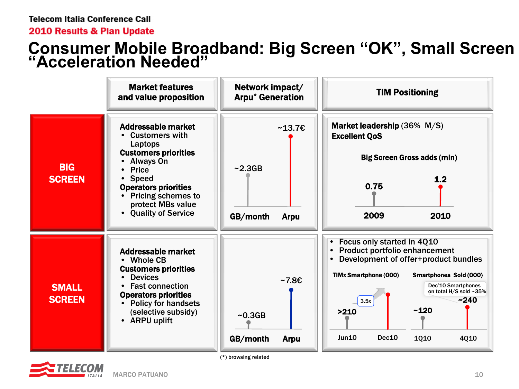2010 Results & Plan Update

### **Consumer Mobile Broadband: Big Screen "OK", Small Screen "Acceleration Needed"**



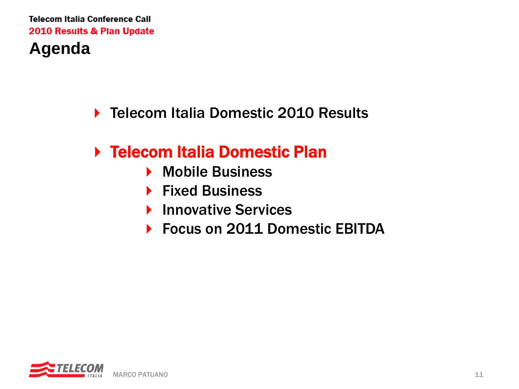- ▶ Telecom Italia Domestic 2010 Results
- Telecom Italia Domestic Plan
	- ▶ Mobile Business
	- ▶ Fixed Business
	- ▶ Innovative Services
	- ▶ Focus on 2011 Domestic EBITDA

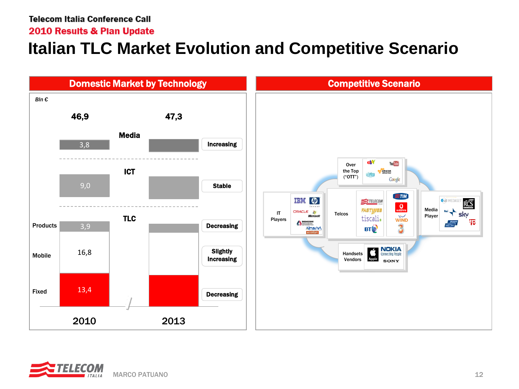2010 Results & Plan Update

## **Italian TLC Market Evolution and Competitive Scenario**



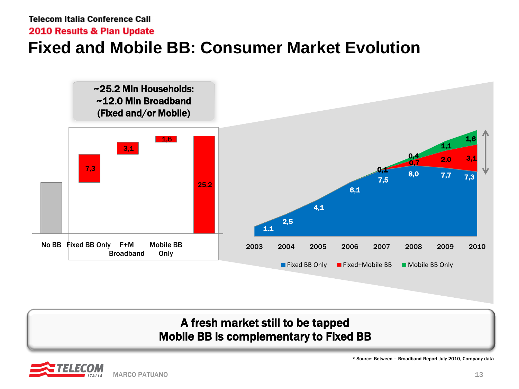2010 Results & Plan Update

### **Fixed and Mobile BB: Consumer Market Evolution**



### A fresh market still to be tapped Mobile BB is complementary to Fixed BB



\* Source: Between – Broadband Report July 2010, Company data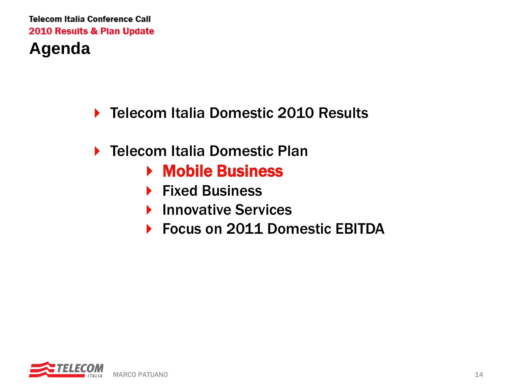- ▶ Telecom Italia Domestic 2010 Results
- ▶ Telecom Italia Domestic Plan
	- ▶ Mobile Business
	- $\blacktriangleright$  Fixed Business
	- **Innovative Services**
	- ▶ Focus on 2011 Domestic EBITDA

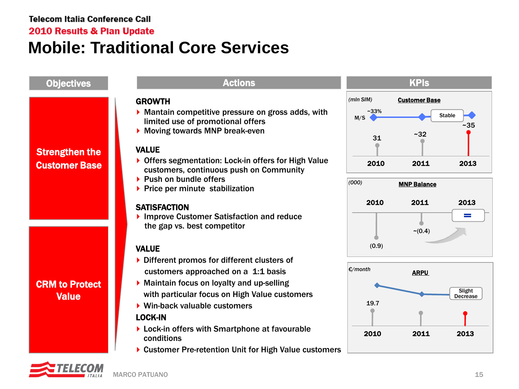2010 Results & Plan Update

### **Mobile: Traditional Core Services**

#### Objectives **Actions** Actions Actions Actions Actions Actions Actions Actions Actions Actions Actions Actions Actions GROWTH *(mln SIM)* Customer Base Mantain competitive pressure on gross adds, with ~33% **Stable** M/S limited use of promotional offers ~35 Moving towards MNP break-even  $31$   $-32$  $\bullet$ VALUE Strengthen the ▶ Offers segmentation: Lock-in offers for High Value 2010 2011 2013 Customer Base customers, continuous push on Community  $\blacktriangleright$  Push on bundle offers MNP Balance *(000)*  $\blacktriangleright$  Price per minute stabilization 2010 2011 2013 **SATISFACTION** ▶ Improve Customer Satisfaction and reduce = the gap vs. best competitor  $(0.4)$  $(0.9)$ VALUE ▶ Different promos for different clusters of ARPU *€/month* customers approached on a 1:1 basis CRM to Protect Maintain focus on loyalty and up-selling Slight with particular focus on High Value customers Value **Decrease** 19.7 Win-back valuable customers LOCK-IN ▶ Lock-in offers with Smartphone at favourable 2010 2011 2013 conditions

▶ Customer Pre-retention Unit for High Value customers

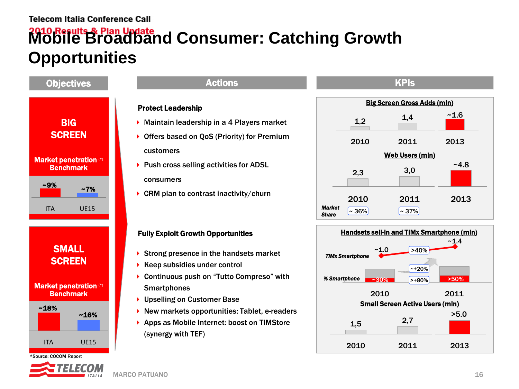# **Mobile Broadband Consumer: Catching Growth Opportunities**



<sup>\*</sup>Source: COCOM Report

#### Protect Leadership

- Maintain leadership in a 4 Players market
- ▶ Offers based on QoS (Priority) for Premium customers
- ▶ Push cross selling activities for ADSL consumers
- $\triangleright$  CRM plan to contrast inactivity/churn

#### Fully Exploit Growth Opportunities

- Strong presence in the handsets market
- $\blacktriangleright$  Keep subsidies under control
- ▶ Continuous push on "Tutto Compreso" with **Smartphones**
- ▶ Upselling on Customer Base
- ▶ New markets opportunities: Tablet, e-readers
- ▶ Apps as Mobile Internet: boost on TIMStore (synergy with TEF)





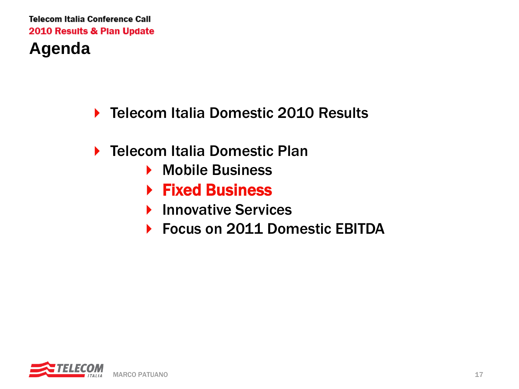- ▶ Telecom Italia Domestic 2010 Results
- ▶ Telecom Italia Domestic Plan
	- ▶ Mobile Business
	- ▶ Fixed Business
	- **Innovative Services**
	- ▶ Focus on 2011 Domestic EBITDA

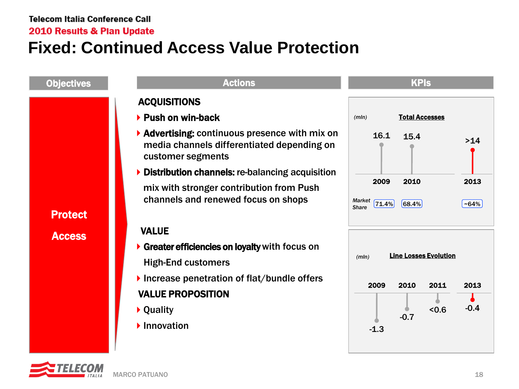2010 Results & Plan Update

## **Fixed: Continued Access Value Protection**



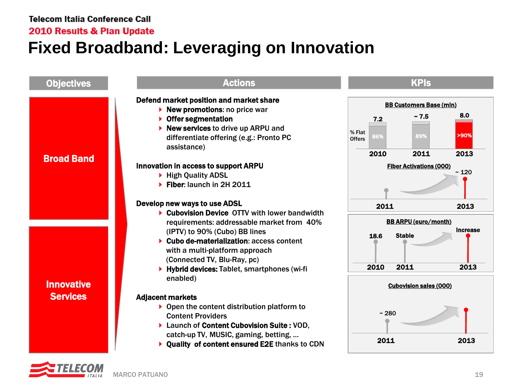2010 Results & Plan Update

# **Fixed Broadband: Leveraging on Innovation**



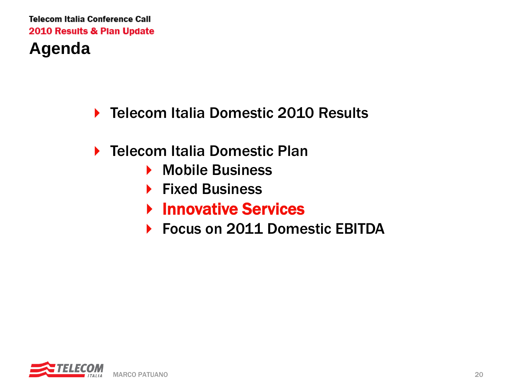- ▶ Telecom Italia Domestic 2010 Results
- ▶ Telecom Italia Domestic Plan
	- ▶ Mobile Business
	- ▶ Fixed Business
	- **Innovative Services**
	- ▶ Focus on 2011 Domestic EBITDA

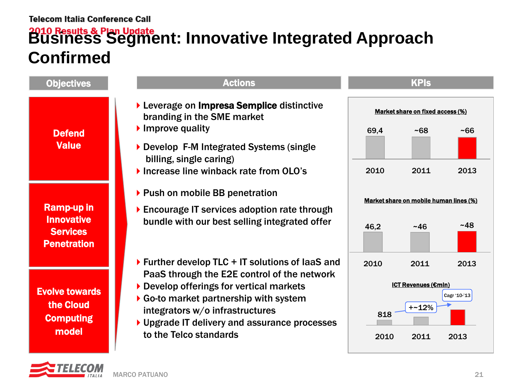# **Business Segment: Innovative Integrated Approach Confirmed**

| <b>Objectives</b>                                                        | <b>Actions</b>                                                                                                                                                                                                                                                                                                                                   | <b>KPIs</b>                      |                                                      |                              |
|--------------------------------------------------------------------------|--------------------------------------------------------------------------------------------------------------------------------------------------------------------------------------------------------------------------------------------------------------------------------------------------------------------------------------------------|----------------------------------|------------------------------------------------------|------------------------------|
| <b>Defend</b><br><b>Value</b>                                            | Leverage on Impresa Semplice distinctive<br>branding in the SME market                                                                                                                                                                                                                                                                           | Market share on fixed access (%) |                                                      |                              |
|                                                                          | $\blacktriangleright$ Improve quality<br>Develop F-M Integrated Systems (single<br>billing, single caring)<br>Increase line winback rate from OLO's                                                                                                                                                                                              | 69.4<br>2010                     | ~568<br>2011                                         | ~56<br>2013                  |
| Ramp-up in<br><b>Innovative</b><br><b>Services</b><br><b>Penetration</b> | ▶ Push on mobile BB penetration<br>Encourage IT services adoption rate through<br>bundle with our best selling integrated offer                                                                                                                                                                                                                  |                                  | Market share on mobile human lines (%)<br>~146       | ~148                         |
| <b>Evolve towards</b><br>the Cloud<br><b>Computing</b><br>model          | $\triangleright$ Further develop TLC + IT solutions of laaS and<br>PaaS through the E2E control of the network<br>$\triangleright$ Develop offerings for vertical markets<br>$\triangleright$ Go-to market partnership with system<br>integrators w/o infrastructures<br>▶ Upgrade IT delivery and assurance processes<br>to the Telco standards | 2010<br>818<br>2010              | 2011<br><b>ICT Revenues (€mln)</b><br>$+22%$<br>2011 | 2013<br>Cagr '10-'13<br>2013 |

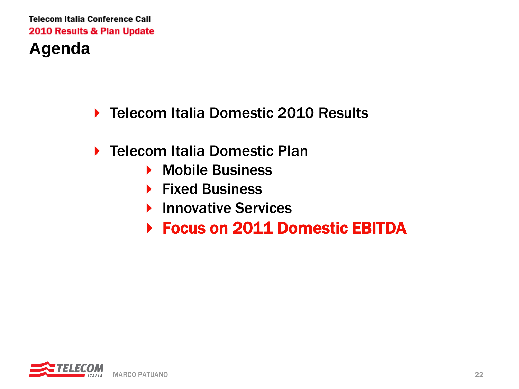- ▶ Telecom Italia Domestic 2010 Results
- ▶ Telecom Italia Domestic Plan
	- ▶ Mobile Business
	- ▶ Fixed Business
	- **Innovative Services**
	- ▶ Focus on 2011 Domestic EBITDA